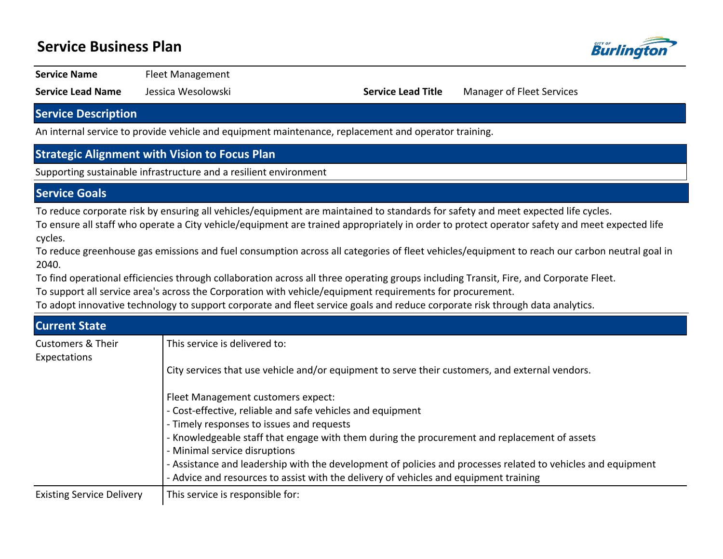## **Service Business Plan**



**Service Name** Fleet Management

**Service Lead Name** Jessica Wesolowski **Service Lead Title** Manager of Fleet Services

#### **Service Description**

An internal service to provide vehicle and equipment maintenance, replacement and operator training.

### **Strategic Alignment with Vision to Focus Plan**

Supporting sustainable infrastructure and a resilient environment

#### **Service Goals**

To reduce corporate risk by ensuring all vehicles/equipment are maintained to standards for safety and meet expected life cycles.

To ensure all staff who operate a City vehicle/equipment are trained appropriately in order to protect operator safety and meet expected life cycles.

To reduce greenhouse gas emissions and fuel consumption across all categories of fleet vehicles/equipment to reach our carbon neutral goal in 2040.

To find operational efficiencies through collaboration across all three operating groups including Transit, Fire, and Corporate Fleet.

To support all service area's across the Corporation with vehicle/equipment requirements for procurement.

To adopt innovative technology to support corporate and fleet service goals and reduce corporate risk through data analytics.

| <b>Current State</b>                         |                                                                                                                                                                                                       |
|----------------------------------------------|-------------------------------------------------------------------------------------------------------------------------------------------------------------------------------------------------------|
| <b>Customers &amp; Their</b><br>Expectations | This service is delivered to:                                                                                                                                                                         |
|                                              | City services that use vehicle and/or equipment to serve their customers, and external vendors.                                                                                                       |
|                                              | Fleet Management customers expect:                                                                                                                                                                    |
|                                              | - Cost-effective, reliable and safe vehicles and equipment                                                                                                                                            |
|                                              | - Timely responses to issues and requests                                                                                                                                                             |
|                                              | - Knowledgeable staff that engage with them during the procurement and replacement of assets                                                                                                          |
|                                              | - Minimal service disruptions                                                                                                                                                                         |
|                                              | - Assistance and leadership with the development of policies and processes related to vehicles and equipment<br>- Advice and resources to assist with the delivery of vehicles and equipment training |
| <b>Existing Service Delivery</b>             | This service is responsible for:                                                                                                                                                                      |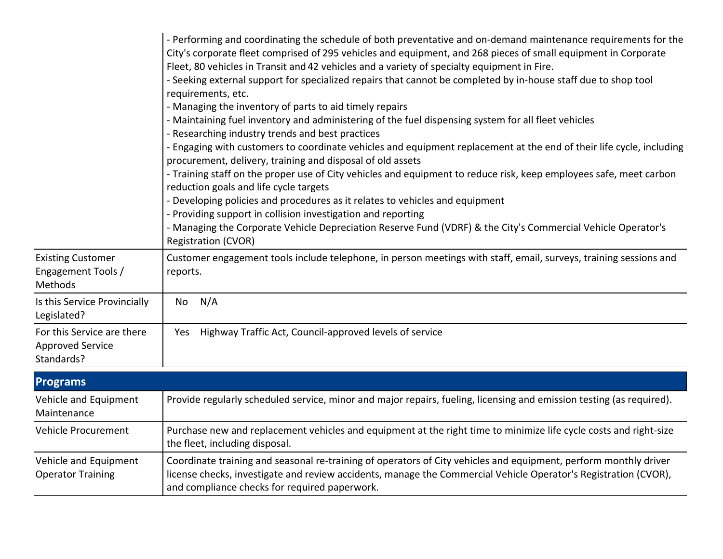|                                                                     | - Performing and coordinating the schedule of both preventative and on-demand maintenance requirements for the<br>City's corporate fleet comprised of 295 vehicles and equipment, and 268 pieces of small equipment in Corporate<br>Fleet, 80 vehicles in Transit and 42 vehicles and a variety of specialty equipment in Fire.<br>- Seeking external support for specialized repairs that cannot be completed by in-house staff due to shop tool<br>requirements, etc.<br>- Managing the inventory of parts to aid timely repairs<br>- Maintaining fuel inventory and administering of the fuel dispensing system for all fleet vehicles<br>- Researching industry trends and best practices<br>- Engaging with customers to coordinate vehicles and equipment replacement at the end of their life cycle, including<br>procurement, delivery, training and disposal of old assets<br>- Training staff on the proper use of City vehicles and equipment to reduce risk, keep employees safe, meet carbon<br>reduction goals and life cycle targets<br>- Developing policies and procedures as it relates to vehicles and equipment<br>- Providing support in collision investigation and reporting<br>- Managing the Corporate Vehicle Depreciation Reserve Fund (VDRF) & the City's Commercial Vehicle Operator's<br><b>Registration (CVOR)</b> |
|---------------------------------------------------------------------|---------------------------------------------------------------------------------------------------------------------------------------------------------------------------------------------------------------------------------------------------------------------------------------------------------------------------------------------------------------------------------------------------------------------------------------------------------------------------------------------------------------------------------------------------------------------------------------------------------------------------------------------------------------------------------------------------------------------------------------------------------------------------------------------------------------------------------------------------------------------------------------------------------------------------------------------------------------------------------------------------------------------------------------------------------------------------------------------------------------------------------------------------------------------------------------------------------------------------------------------------------------------------------------------------------------------------------------------------|
| <b>Existing Customer</b><br>Engagement Tools /<br>Methods           | Customer engagement tools include telephone, in person meetings with staff, email, surveys, training sessions and<br>reports.                                                                                                                                                                                                                                                                                                                                                                                                                                                                                                                                                                                                                                                                                                                                                                                                                                                                                                                                                                                                                                                                                                                                                                                                                     |
| Is this Service Provincially<br>Legislated?                         | N/A<br>No                                                                                                                                                                                                                                                                                                                                                                                                                                                                                                                                                                                                                                                                                                                                                                                                                                                                                                                                                                                                                                                                                                                                                                                                                                                                                                                                         |
| For this Service are there<br><b>Approved Service</b><br>Standards? | Highway Traffic Act, Council-approved levels of service<br>Yes                                                                                                                                                                                                                                                                                                                                                                                                                                                                                                                                                                                                                                                                                                                                                                                                                                                                                                                                                                                                                                                                                                                                                                                                                                                                                    |

| <b>Programs</b>                                   |                                                                                                                                                                                                                                                                                      |
|---------------------------------------------------|--------------------------------------------------------------------------------------------------------------------------------------------------------------------------------------------------------------------------------------------------------------------------------------|
| Vehicle and Equipment<br>Maintenance              | Provide regularly scheduled service, minor and major repairs, fueling, licensing and emission testing (as required).                                                                                                                                                                 |
| Vehicle Procurement                               | Purchase new and replacement vehicles and equipment at the right time to minimize life cycle costs and right-size<br>the fleet, including disposal.                                                                                                                                  |
| Vehicle and Equipment<br><b>Operator Training</b> | Coordinate training and seasonal re-training of operators of City vehicles and equipment, perform monthly driver<br>license checks, investigate and review accidents, manage the Commercial Vehicle Operator's Registration (CVOR),<br>and compliance checks for required paperwork. |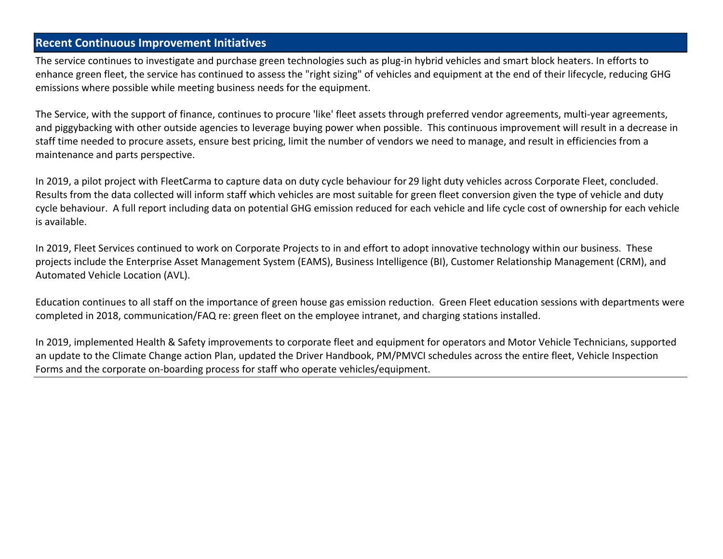### **Recent Continuous Improvement Initiatives**

The service continues to investigate and purchase green technologies such as plug-in hybrid vehicles and smart block heaters. In efforts to enhance green fleet, the service has continued to assess the "right sizing" of vehicles and equipment at the end of their lifecycle, reducing GHG emissions where possible while meeting business needs for the equipment.

The Service, with the support of finance, continues to procure 'like' fleet assets through preferred vendor agreements, multi-year agreements, and piggybacking with other outside agencies to leverage buying power when possible. This continuous improvement will result in a decrease in staff time needed to procure assets, ensure best pricing, limit the number of vendors we need to manage, and result in efficiencies from a maintenance and parts perspective.

In 2019, a pilot project with FleetCarma to capture data on duty cycle behaviour for 29 light duty vehicles across Corporate Fleet, concluded. Results from the data collected will inform staff which vehicles are most suitable for green fleet conversion given the type of vehicle and duty cycle behaviour. A full report including data on potential GHG emission reduced for each vehicle and life cycle cost of ownership for each vehicle is available.

In 2019, Fleet Services continued to work on Corporate Projects to in and effort to adopt innovative technology within our business. These projects include the Enterprise Asset Management System (EAMS), Business Intelligence (BI), Customer Relationship Management (CRM), and Automated Vehicle Location (AVL).

Education continues to all staff on the importance of green house gas emission reduction. Green Fleet education sessions with departments were completed in 2018, communication/FAQ re: green fleet on the employee intranet, and charging stations installed.

In 2019, implemented Health & Safety improvements to corporate fleet and equipment for operators and Motor Vehicle Technicians, supported an update to the Climate Change action Plan, updated the Driver Handbook, PM/PMVCI schedules across the entire fleet, Vehicle Inspection Forms and the corporate on-boarding process for staff who operate vehicles/equipment.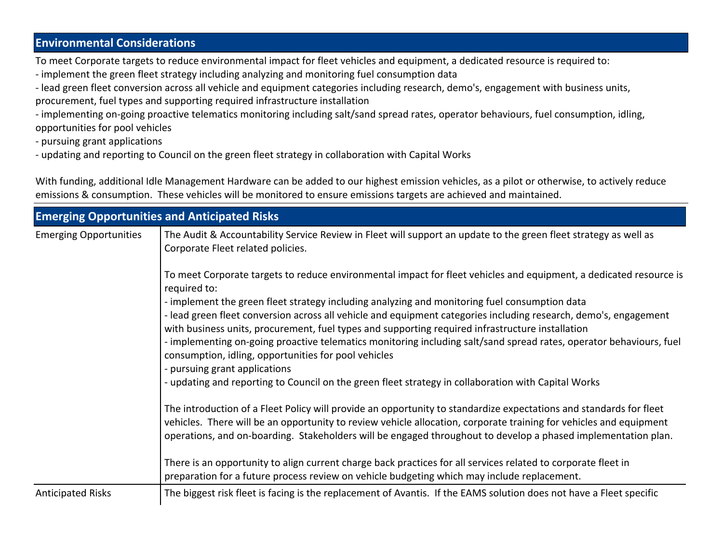### **Environmental Considerations**

To meet Corporate targets to reduce environmental impact for fleet vehicles and equipment, a dedicated resource is required to:

- implement the green fleet strategy including analyzing and monitoring fuel consumption data
- lead green fleet conversion across all vehicle and equipment categories including research, demo's, engagement with business units, procurement, fuel types and supporting required infrastructure installation
- implementing on-going proactive telematics monitoring including salt/sand spread rates, operator behaviours, fuel consumption, idling, opportunities for pool vehicles
- pursuing grant applications
- updating and reporting to Council on the green fleet strategy in collaboration with Capital Works

With funding, additional Idle Management Hardware can be added to our highest emission vehicles, as a pilot or otherwise, to actively reduce emissions & consumption. These vehicles will be monitored to ensure emissions targets are achieved and maintained.

| <b>Emerging Opportunities and Anticipated Risks</b> |                                                                                                                                                                                                                                                                                                                                                                                                                                                                                                                                                                                                                                            |  |  |  |
|-----------------------------------------------------|--------------------------------------------------------------------------------------------------------------------------------------------------------------------------------------------------------------------------------------------------------------------------------------------------------------------------------------------------------------------------------------------------------------------------------------------------------------------------------------------------------------------------------------------------------------------------------------------------------------------------------------------|--|--|--|
| <b>Emerging Opportunities</b>                       | The Audit & Accountability Service Review in Fleet will support an update to the green fleet strategy as well as<br>Corporate Fleet related policies.                                                                                                                                                                                                                                                                                                                                                                                                                                                                                      |  |  |  |
|                                                     | To meet Corporate targets to reduce environmental impact for fleet vehicles and equipment, a dedicated resource is<br>required to:<br>- implement the green fleet strategy including analyzing and monitoring fuel consumption data<br>- lead green fleet conversion across all vehicle and equipment categories including research, demo's, engagement<br>with business units, procurement, fuel types and supporting required infrastructure installation<br>- implementing on-going proactive telematics monitoring including salt/sand spread rates, operator behaviours, fuel<br>consumption, idling, opportunities for pool vehicles |  |  |  |
|                                                     | - pursuing grant applications<br>- updating and reporting to Council on the green fleet strategy in collaboration with Capital Works                                                                                                                                                                                                                                                                                                                                                                                                                                                                                                       |  |  |  |
|                                                     | The introduction of a Fleet Policy will provide an opportunity to standardize expectations and standards for fleet<br>vehicles. There will be an opportunity to review vehicle allocation, corporate training for vehicles and equipment<br>operations, and on-boarding. Stakeholders will be engaged throughout to develop a phased implementation plan.                                                                                                                                                                                                                                                                                  |  |  |  |
|                                                     | There is an opportunity to align current charge back practices for all services related to corporate fleet in<br>preparation for a future process review on vehicle budgeting which may include replacement.                                                                                                                                                                                                                                                                                                                                                                                                                               |  |  |  |
| <b>Anticipated Risks</b>                            | The biggest risk fleet is facing is the replacement of Avantis. If the EAMS solution does not have a Fleet specific                                                                                                                                                                                                                                                                                                                                                                                                                                                                                                                        |  |  |  |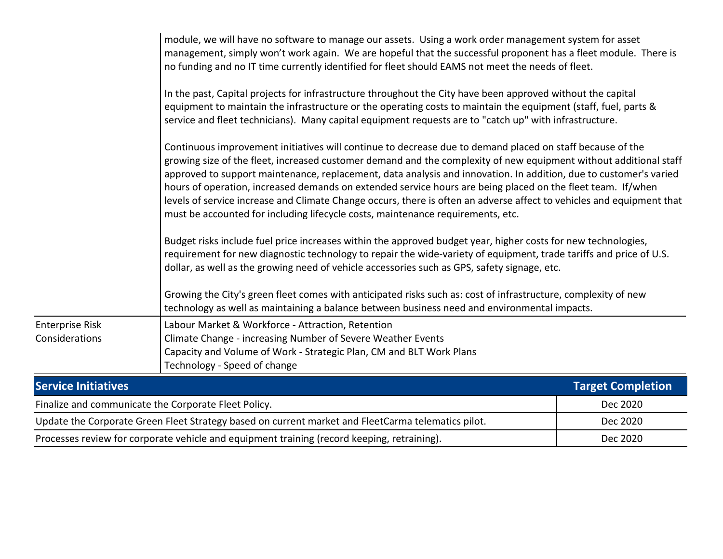|                                                                                                    | module, we will have no software to manage our assets. Using a work order management system for asset<br>management, simply won't work again. We are hopeful that the successful proponent has a fleet module. There is<br>no funding and no IT time currently identified for fleet should EAMS not meet the needs of fleet.                                                                                                                                                                                                                                                                                                                                                                                                                                                                                                                                                                                                                                                                                                                                                                                                                                                                                                            |                          |
|----------------------------------------------------------------------------------------------------|-----------------------------------------------------------------------------------------------------------------------------------------------------------------------------------------------------------------------------------------------------------------------------------------------------------------------------------------------------------------------------------------------------------------------------------------------------------------------------------------------------------------------------------------------------------------------------------------------------------------------------------------------------------------------------------------------------------------------------------------------------------------------------------------------------------------------------------------------------------------------------------------------------------------------------------------------------------------------------------------------------------------------------------------------------------------------------------------------------------------------------------------------------------------------------------------------------------------------------------------|--------------------------|
|                                                                                                    | In the past, Capital projects for infrastructure throughout the City have been approved without the capital<br>equipment to maintain the infrastructure or the operating costs to maintain the equipment (staff, fuel, parts &<br>service and fleet technicians). Many capital equipment requests are to "catch up" with infrastructure.                                                                                                                                                                                                                                                                                                                                                                                                                                                                                                                                                                                                                                                                                                                                                                                                                                                                                                |                          |
|                                                                                                    | Continuous improvement initiatives will continue to decrease due to demand placed on staff because of the<br>growing size of the fleet, increased customer demand and the complexity of new equipment without additional staff<br>approved to support maintenance, replacement, data analysis and innovation. In addition, due to customer's varied<br>hours of operation, increased demands on extended service hours are being placed on the fleet team. If/when<br>levels of service increase and Climate Change occurs, there is often an adverse affect to vehicles and equipment that<br>must be accounted for including lifecycle costs, maintenance requirements, etc.<br>Budget risks include fuel price increases within the approved budget year, higher costs for new technologies,<br>requirement for new diagnostic technology to repair the wide-variety of equipment, trade tariffs and price of U.S.<br>dollar, as well as the growing need of vehicle accessories such as GPS, safety signage, etc.<br>Growing the City's green fleet comes with anticipated risks such as: cost of infrastructure, complexity of new<br>technology as well as maintaining a balance between business need and environmental impacts. |                          |
| <b>Enterprise Risk</b><br>Considerations                                                           | Labour Market & Workforce - Attraction, Retention<br>Climate Change - increasing Number of Severe Weather Events<br>Capacity and Volume of Work - Strategic Plan, CM and BLT Work Plans<br>Technology - Speed of change                                                                                                                                                                                                                                                                                                                                                                                                                                                                                                                                                                                                                                                                                                                                                                                                                                                                                                                                                                                                                 |                          |
| <b>Service Initiatives</b>                                                                         |                                                                                                                                                                                                                                                                                                                                                                                                                                                                                                                                                                                                                                                                                                                                                                                                                                                                                                                                                                                                                                                                                                                                                                                                                                         | <b>Target Completion</b> |
| Finalize and communicate the Corporate Fleet Policy.                                               |                                                                                                                                                                                                                                                                                                                                                                                                                                                                                                                                                                                                                                                                                                                                                                                                                                                                                                                                                                                                                                                                                                                                                                                                                                         | Dec 2020                 |
| Update the Corporate Green Fleet Strategy based on current market and FleetCarma telematics pilot. |                                                                                                                                                                                                                                                                                                                                                                                                                                                                                                                                                                                                                                                                                                                                                                                                                                                                                                                                                                                                                                                                                                                                                                                                                                         | Dec 2020                 |
| Processes review for corporate vehicle and equipment training (record keeping, retraining).        |                                                                                                                                                                                                                                                                                                                                                                                                                                                                                                                                                                                                                                                                                                                                                                                                                                                                                                                                                                                                                                                                                                                                                                                                                                         | Dec 2020                 |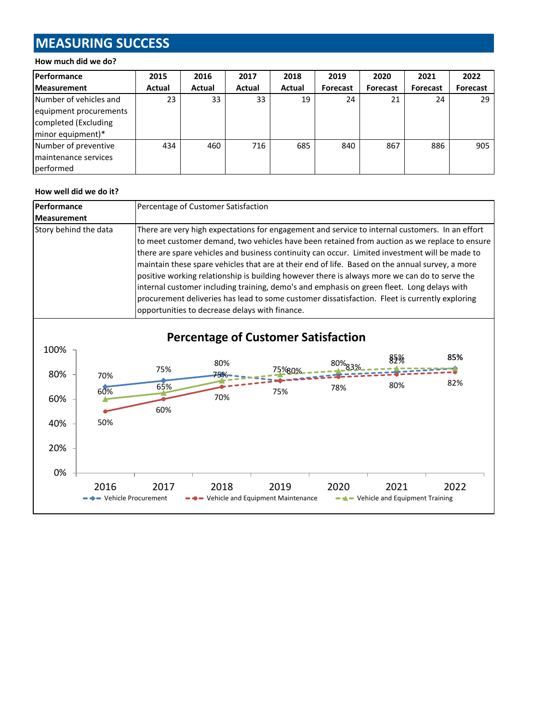# **MEASURING SUCCESS**

#### **How much did we do?**

| <b>Performance</b>     | 2015   | 2016   | 2017   | 2018   | 2019            | 2020            | 2021     | 2022            |
|------------------------|--------|--------|--------|--------|-----------------|-----------------|----------|-----------------|
| <b>Measurement</b>     | Actual | Actual | Actual | Actual | <b>Forecast</b> | <b>Forecast</b> | Forecast | <b>Forecast</b> |
| Number of vehicles and | 23     | 33     | 33     | 19     | 24              | 21              | 24       | 29              |
| equipment procurements |        |        |        |        |                 |                 |          |                 |
| completed (Excluding   |        |        |        |        |                 |                 |          |                 |
| minor equipment)*      |        |        |        |        |                 |                 |          |                 |
| Number of preventive   | 434    | 460    | 716    | 685    | 840             | 867             | 886      | 905             |
| Imaintenance services  |        |        |        |        |                 |                 |          |                 |
| performed              |        |        |        |        |                 |                 |          |                 |

#### **How well did we do it?**

| <b>Performance</b>    | Percentage of Customer Satisfaction                                                                                                                                                                                                                                                                                                                                                                                                                                                                                                                                                                                                                                                                                                                      |  |  |
|-----------------------|----------------------------------------------------------------------------------------------------------------------------------------------------------------------------------------------------------------------------------------------------------------------------------------------------------------------------------------------------------------------------------------------------------------------------------------------------------------------------------------------------------------------------------------------------------------------------------------------------------------------------------------------------------------------------------------------------------------------------------------------------------|--|--|
| <b>Measurement</b>    |                                                                                                                                                                                                                                                                                                                                                                                                                                                                                                                                                                                                                                                                                                                                                          |  |  |
| Story behind the data | There are very high expectations for engagement and service to internal customers. In an effort<br>to meet customer demand, two vehicles have been retained from auction as we replace to ensure<br>there are spare vehicles and business continuity can occur. Limited investment will be made to<br>maintain these spare vehicles that are at their end of life. Based on the annual survey, a more<br>positive working relationship is building however there is always more we can do to serve the<br>internal customer including training, demo's and emphasis on green fleet. Long delays with<br>procurement deliveries has lead to some customer dissatisfaction. Fleet is currently exploring<br>opportunities to decrease delays with finance. |  |  |

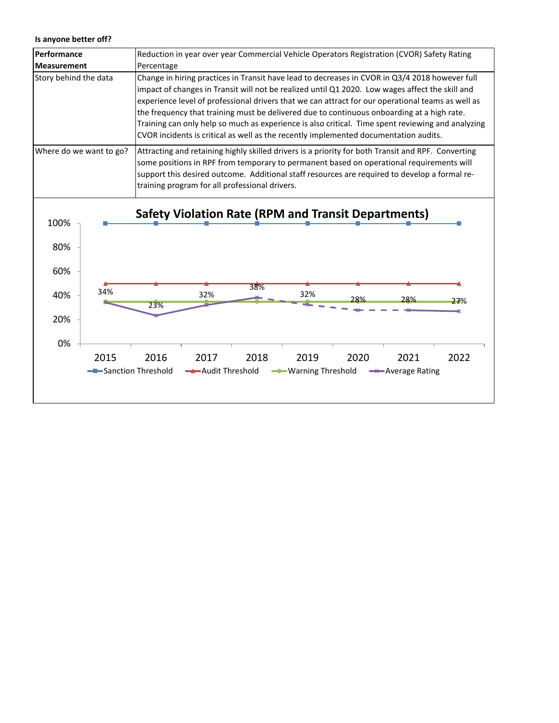#### **Is anyone better off?**

| Performance                                                                   | Reduction in year over year Commercial Vehicle Operators Registration (CVOR) Safety Rating                                                                                                                                                                                                                                                                                                                                                                                                                                                                                                        |  |  |  |  |  |
|-------------------------------------------------------------------------------|---------------------------------------------------------------------------------------------------------------------------------------------------------------------------------------------------------------------------------------------------------------------------------------------------------------------------------------------------------------------------------------------------------------------------------------------------------------------------------------------------------------------------------------------------------------------------------------------------|--|--|--|--|--|
| <b>Measurement</b>                                                            | Percentage                                                                                                                                                                                                                                                                                                                                                                                                                                                                                                                                                                                        |  |  |  |  |  |
| Story behind the data                                                         | Change in hiring practices in Transit have lead to decreases in CVOR in Q3/4 2018 however full<br>impact of changes in Transit will not be realized until Q1 2020. Low wages affect the skill and<br>experience level of professional drivers that we can attract for our operational teams as well as<br>the frequency that training must be delivered due to continuous onboarding at a high rate.<br>Training can only help so much as experience is also critical. Time spent reviewing and analyzing<br>CVOR incidents is critical as well as the recently implemented documentation audits. |  |  |  |  |  |
| Where do we want to go?                                                       | Attracting and retaining highly skilled drivers is a priority for both Transit and RPF. Converting<br>some positions in RPF from temporary to permanent based on operational requirements will<br>support this desired outcome. Additional staff resources are required to develop a formal re-<br>training program for all professional drivers.                                                                                                                                                                                                                                                 |  |  |  |  |  |
| 100%<br>80%<br>60%<br>34%<br>40%<br>20%<br>0%<br>2015<br>- Sanction Threshold | <b>Safety Violation Rate (RPM and Transit Departments)</b><br>38%<br>32%<br>32%<br>28%<br>28%<br>27%<br>23%<br>2016<br>2017<br>2018<br>2019<br>2020<br>2021<br>2022<br>Audit Threshold<br>- Warning Threshold<br>Average Rating                                                                                                                                                                                                                                                                                                                                                                   |  |  |  |  |  |